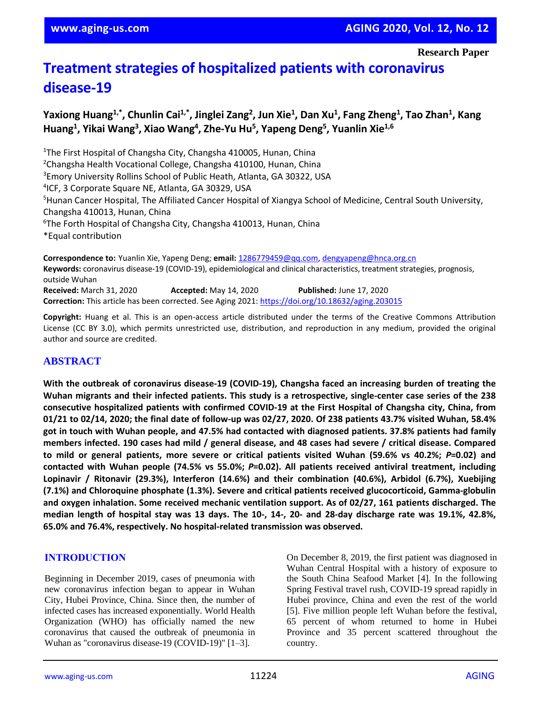# **Treatment strategies of hospitalized patients with coronavirus disease-19**

# **Yaxiong Huang1,\* , Chunlin Cai1,\*, Jinglei Zang<sup>2</sup> , Jun Xie<sup>1</sup> , Dan Xu<sup>1</sup> , Fang Zheng<sup>1</sup> , Tao Zhan<sup>1</sup> , Kang Huang<sup>1</sup> , Yikai Wang<sup>3</sup> , Xiao Wang<sup>4</sup> , Zhe-Yu Hu<sup>5</sup> , Yapeng Deng<sup>5</sup> , Yuanlin Xie1,6**

<sup>1</sup>The First Hospital of Changsha City, Changsha 410005, Hunan, China <sup>2</sup>Changsha Health Vocational College, Changsha 410100, Hunan, China <sup>3</sup>Emory University Rollins School of Public Heath, Atlanta, GA 30322, USA 4 ICF, 3 Corporate Square NE, Atlanta, GA 30329, USA <sup>5</sup>Hunan Cancer Hospital, The Affiliated Cancer Hospital of Xiangya School of Medicine, Central South University, Changsha 410013, Hunan, China  $6$ The Forth Hospital of Changsha City, Changsha 410013, Hunan, China \*Equal contribution

**Correspondence to:** Yuanlin Xie, Yapeng Deng; **email:** [1286779459@qq.com,](mailto:1286779459@qq.com) [dengyapeng@hnca.org.cn](mailto:dengyapeng@hnca.org.cn) **Keywords:** coronavirus disease-19 (COVID-19), epidemiological and clinical characteristics, treatment strategies, prognosis, outside Wuhan **Received:** March 31, 2020 **Accepted:** May 14, 2020 **Published:** June 17, 2020 **Correction:** This article has been corrected. See Aging 2021:<https://doi.org/10.18632/aging.203015>

**Copyright:** Huang et al. This is an open-access article distributed under the terms of the Creative Commons Attribution License (CC BY 3.0), which permits unrestricted use, distribution, and reproduction in any medium, provided the original author and source are credited.

## **ABSTRACT**

**With the outbreak of coronavirus disease-19 (COVID-19), Changsha faced an increasing burden of treating the** Wuhan migrants and their infected patients. This study is a retrospective, single-center case series of the 238 **consecutive hospitalized patients with confirmed COVID-19 at the First Hospital of Changsha city, China, from** 01/21 to 02/14, 2020; the final date of follow-up was 02/27, 2020. Of 238 patients 43.7% visited Wuhan, 58.4% got in touch with Wuhan people, and 47.5% had contacted with diagnosed patients. 37.8% patients had family members infected. 190 cases had mild / general disease, and 48 cases had severe / critical disease. Compared to mild or general patients, more severe or critical patients visited Wuhan (59.6% vs 40.2%; P=0.02) and **contacted with Wuhan people (74.5% vs 55.0%;** *P***=0.02). All patients received antiviral treatment, including Lopinavir / Ritonavir (29.3%), Interferon (14.6%) and their combination (40.6%), Arbidol (6.7%), Xuebijing (7.1%) and Chloroquine phosphate (1.3%). Severe and critical patients received glucocorticoid, Gamma-globulin and oxygen inhalation. Some received mechanic ventilation support. As of 02/27, 161 patients discharged. The** median length of hospital stay was 13 days. The 10-, 14-, 20- and 28-day discharge rate was 19.1%, 42.8%, **65.0% and 76.4%, respectively. No hospital-related transmission was observed.**

## **INTRODUCTION**

Beginning in December 2019, cases of pneumonia with new coronavirus infection began to appear in Wuhan City, Hubei Province, China. Since then, the number of infected cases has increased exponentially. World Health Organization (WHO) has officially named the new coronavirus that caused the outbreak of pneumonia in Wuhan as "coronavirus disease-19 (COVID-19)" [1–3].

On December 8, 2019, the first patient was diagnosed in Wuhan Central Hospital with a history of exposure to the South China Seafood Market [4]. In the following Spring Festival travel rush, COVID-19 spread rapidly in Hubei province, China and even the rest of the world [5]. Five million people left Wuhan before the festival, 65 percent of whom returned to home in Hubei Province and 35 percent scattered throughout the country.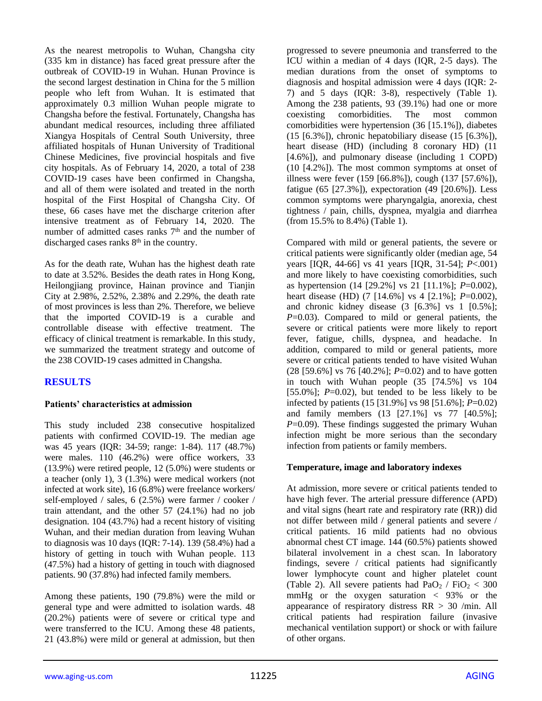As the nearest metropolis to Wuhan, Changsha city (335 km in distance) has faced great pressure after the outbreak of COVID-19 in Wuhan. Hunan Province is the second largest destination in China for the 5 million people who left from Wuhan. It is estimated that approximately 0.3 million Wuhan people migrate to Changsha before the festival. Fortunately, Changsha has abundant medical resources, including three affiliated Xiangya Hospitals of Central South University, three affiliated hospitals of Hunan University of Traditional Chinese Medicines, five provincial hospitals and five city hospitals. As of February 14, 2020, a total of 238 COVID-19 cases have been confirmed in Changsha, and all of them were isolated and treated in the north hospital of the First Hospital of Changsha City. Of these, 66 cases have met the discharge criterion after intensive treatment as of February 14, 2020. The number of admitted cases ranks  $7<sup>th</sup>$  and the number of discharged cases ranks 8<sup>th</sup> in the country.

As for the death rate, Wuhan has the highest death rate to date at 3.52%. Besides the death rates in Hong Kong, Heilongjiang province, Hainan province and Tianjin City at 2.98%, 2.52%, 2.38% and 2.29%, the death rate of most provinces is less than 2%. Therefore, we believe that the imported COVID-19 is a curable and controllable disease with effective treatment. The efficacy of clinical treatment is remarkable. In this study, we summarized the treatment strategy and outcome of the 238 COVID-19 cases admitted in Changsha.

# **RESULTS**

#### **Patients' characteristics at admission**

This study included 238 consecutive hospitalized patients with confirmed COVID-19. The median age was 45 years (IQR: 34-59; range: 1-84). 117 (48.7%) were males. 110 (46.2%) were office workers, 33 (13.9%) were retired people, 12 (5.0%) were students or a teacher (only 1), 3 (1.3%) were medical workers (not infected at work site), 16 (6.8%) were freelance workers/ self-employed / sales, 6 (2.5%) were farmer / cooker / train attendant, and the other 57 (24.1%) had no job designation. 104 (43.7%) had a recent history of visiting Wuhan, and their median duration from leaving Wuhan to diagnosis was 10 days (IQR: 7-14). 139 (58.4%) had a history of getting in touch with Wuhan people. 113 (47.5%) had a history of getting in touch with diagnosed patients. 90 (37.8%) had infected family members.

Among these patients, 190 (79.8%) were the mild or general type and were admitted to isolation wards. 48 (20.2%) patients were of severe or critical type and were transferred to the ICU. Among these 48 patients, 21 (43.8%) were mild or general at admission, but then progressed to severe pneumonia and transferred to the ICU within a median of 4 days (IQR, 2-5 days). The median durations from the onset of symptoms to diagnosis and hospital admission were 4 days (IQR: 2- 7) and 5 days (IQR: 3-8), respectively (Table 1). Among the 238 patients, 93 (39.1%) had one or more coexisting comorbidities. The most common comorbidities were hypertension (36 [15.1%]), diabetes  $(15 [6.3\%])$ , chronic hepatobiliary disease  $(15 [6.3\%])$ , heart disease (HD) (including 8 coronary HD) (11 [4.6%]), and pulmonary disease (including 1 COPD) (10 [4.2%]). The most common symptoms at onset of illness were fever (159 [66.8%]), cough (137 [57.6%]), fatigue (65 [27.3%]), expectoration (49 [20.6%]). Less common symptoms were pharyngalgia, anorexia, chest tightness / pain, chills, dyspnea, myalgia and diarrhea (from 15.5% to 8.4%) (Table 1).

Compared with mild or general patients, the severe or critical patients were significantly older (median age, 54 years [IQR, 44-66] vs 41 years [IQR, 31-54]; *P*<.001) and more likely to have coexisting comorbidities, such as hypertension (14 [29.2%] vs 21 [11.1%]; *P*=0.002), heart disease (HD) (7 [14.6%] vs 4 [2.1%]; *P*=0.002), and chronic kidney disease  $(3 \mid 6.3\%]$  vs 1  $[0.5\%]$ ; *P*=0.03). Compared to mild or general patients, the severe or critical patients were more likely to report fever, fatigue, chills, dyspnea, and headache. In addition, compared to mild or general patients, more severe or critical patients tended to have visited Wuhan (28 [59.6%] vs 76 [40.2%]; *P*=0.02) and to have gotten in touch with Wuhan people (35 [74.5%] vs 104 [55.0%];  $P=0.02$ ), but tended to be less likely to be infected by patients (15 [31.9%] vs 98 [51.6%]; *P*=0.02) and family members (13 [27.1%] vs 77 [40.5%]; *P*=0.09). These findings suggested the primary Wuhan infection might be more serious than the secondary infection from patients or family members.

#### **Temperature, image and laboratory indexes**

At admission, more severe or critical patients tended to have high fever. The arterial pressure difference (APD) and vital signs (heart rate and respiratory rate (RR)) did not differ between mild / general patients and severe / critical patients. 16 mild patients had no obvious abnormal chest CT image. 144 (60.5%) patients showed bilateral involvement in a chest scan. In laboratory findings, severe / critical patients had significantly lower lymphocyte count and higher platelet count (Table 2). All severe patients had  $PaO<sub>2</sub> / FiO<sub>2</sub> < 300$ mmHg or the oxygen saturation  $\langle$  93% or the appearance of respiratory distress  $RR > 30$  /min. All critical patients had respiration failure (invasive mechanical ventilation support) or shock or with failure of other organs.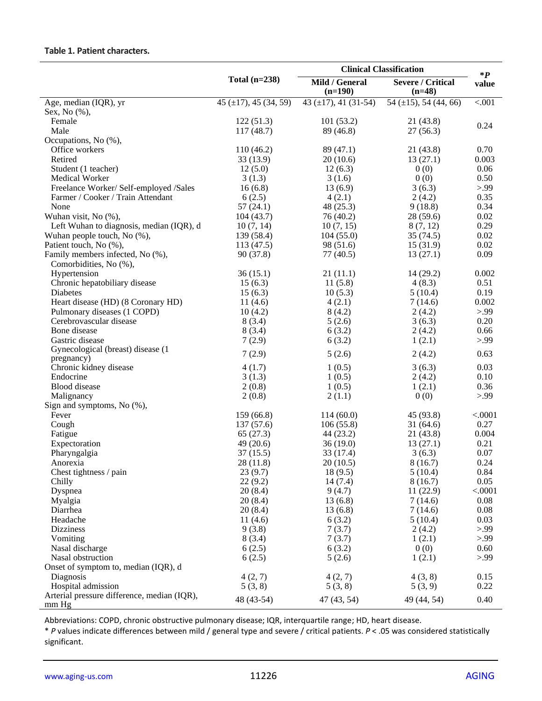## **Table 1. Patient characters.**

|                                                      |                             |                                                       | <b>Clinical Classification</b>           | $\ast P$     |
|------------------------------------------------------|-----------------------------|-------------------------------------------------------|------------------------------------------|--------------|
|                                                      | Total $(n=238)$             | Mild / General<br>$(n=190)$                           | <b>Severe / Critical</b><br>$(n=48)$     | value        |
| Age, median (IQR), yr                                | 45 ( $\pm$ 17), 45 (34, 59) | $43 \left( \pm 17 \right), 41 \left( 31 - 54 \right)$ | $\overline{54 \ (\pm 15)}$ , 54 (44, 66) | < 0.001      |
| Sex, No (%),                                         |                             |                                                       |                                          |              |
| Female                                               | 122(51.3)                   | 101(53.2)                                             | 21(43.8)                                 | 0.24         |
| Male                                                 | 117(48.7)                   | 89 (46.8)                                             | 27(56.3)                                 |              |
| Occupations, No (%),                                 |                             |                                                       |                                          |              |
| Office workers                                       | 110 (46.2)                  | 89 (47.1)                                             | 21(43.8)                                 | 0.70         |
| Retired                                              | 33 (13.9)                   | 20(10.6)                                              | 13(27.1)                                 | 0.003        |
| Student (1 teacher)                                  | 12(5.0)                     | 12(6.3)                                               | 0(0)                                     | 0.06         |
| Medical Worker                                       | 3(1.3)                      | 3(1.6)                                                | 0(0)                                     | 0.50         |
| Freelance Worker/ Self-employed /Sales               | 16(6.8)                     | 13(6.9)                                               | 3(6.3)                                   | > 99         |
| Farmer / Cooker / Train Attendant                    | 6(2.5)                      | 4(2.1)                                                | 2(4.2)                                   | 0.35         |
| None                                                 | 57(24.1)                    | 48 (25.3)                                             | 9(18.8)                                  | 0.34         |
| Wuhan visit, No (%),                                 | 104(43.7)                   | 76 (40.2)                                             | 28(59.6)                                 | 0.02         |
| Left Wuhan to diagnosis, median (IQR), d             | 10(7, 14)                   | 10(7, 15)                                             | 8(7, 12)                                 | 0.29         |
| Wuhan people touch, No (%),                          | 139 (58.4)                  | 104(55.0)                                             | 35(74.5)                                 | 0.02         |
| Patient touch, No (%),                               | 113(47.5)                   | 98 (51.6)                                             | 15(31.9)                                 | 0.02         |
| Family members infected, No (%),                     | 90(37.8)                    | 77(40.5)                                              | 13(27.1)                                 | 0.09         |
| Comorbidities, No (%),                               |                             |                                                       |                                          |              |
| Hypertension                                         | 36(15.1)                    | 21(11.1)                                              | 14 (29.2)                                | 0.002        |
| Chronic hepatobiliary disease                        | 15(6.3)                     | 11(5.8)                                               | 4(8.3)                                   | 0.51         |
| <b>Diabetes</b>                                      | 15(6.3)                     | 10(5.3)                                               | 5(10.4)                                  | 0.19         |
| Heart disease (HD) (8 Coronary HD)                   | 11(4.6)                     | 4(2.1)                                                | 7(14.6)                                  | 0.002        |
| Pulmonary diseases (1 COPD)                          | 10(4.2)                     | 8(4.2)                                                | 2(4.2)                                   | > 99<br>0.20 |
| Cerebrovascular disease                              | 8(3.4)                      | 5(2.6)                                                | 3(6.3)                                   |              |
| Bone disease<br>Gastric disease                      | 8(3.4)                      | 6(3.2)                                                | 2(4.2)                                   | 0.66         |
| Gynecological (breast) disease (1                    | 7(2.9)                      | 6(3.2)                                                | 1(2.1)                                   | > 99         |
| pregnancy)                                           | 7(2.9)                      | 5(2.6)                                                | 2(4.2)                                   | 0.63         |
| Chronic kidney disease                               | 4(1.7)                      | 1(0.5)                                                | 3(6.3)                                   | 0.03         |
| Endocrine                                            | 3(1.3)                      | 1(0.5)                                                | 2(4.2)                                   | 0.10         |
| <b>Blood</b> disease                                 | 2(0.8)                      | 1(0.5)                                                | 1(2.1)                                   | 0.36         |
| Malignancy                                           | 2(0.8)                      | 2(1.1)                                                | 0(0)                                     | > 99         |
| Sign and symptoms, No (%),                           |                             |                                                       |                                          |              |
| Fever                                                | 159(66.8)                   | 114(60.0)                                             | 45 (93.8)                                | < .0001      |
| Cough                                                | 137(57.6)                   | 106(55.8)                                             | 31(64.6)                                 | 0.27         |
| Fatigue                                              | 65(27.3)                    | 44 (23.2)                                             | 21(43.8)                                 | 0.004        |
| Expectoration                                        | 49(20.6)                    | 36(19.0)                                              | 13(27.1)                                 | 0.21         |
| Pharyngalgia                                         | 37(15.5)                    | 33 (17.4)                                             | 3(6.3)                                   | 0.07         |
| Anorexia                                             | 28 (11.8)                   | 20(10.5)                                              | 8(16.7)                                  | 0.24         |
| Chest tightness / pain                               | 23(9.7)                     | 18(9.5)                                               | 5(10.4)                                  | 0.84         |
| Chilly                                               | 22(9.2)                     | 14(7.4)                                               | 8(16.7)                                  | 0.05         |
| Dyspnea                                              | 20(8.4)                     | 9(4.7)                                                | 11(22.9)                                 | < .0001      |
| Myalgia                                              | 20(8.4)                     | 13(6.8)                                               | 7(14.6)                                  | 0.08         |
| Diarrhea                                             | 20(8.4)                     | 13(6.8)                                               | 7(14.6)                                  | 0.08         |
| Headache                                             | 11(4.6)                     | 6(3.2)                                                | 5(10.4)                                  | 0.03         |
| <b>Dizziness</b>                                     | 9(3.8)                      | 7(3.7)                                                | 2(4.2)                                   | > 99         |
| Vomiting                                             | 8(3.4)                      | 7(3.7)                                                | 1(2.1)                                   | > 99         |
| Nasal discharge                                      | 6(2.5)                      | 6(3.2)                                                | 0(0)                                     | 0.60         |
| Nasal obstruction                                    | 6(2.5)                      | 5(2.6)                                                | 1(2.1)                                   | > 99         |
| Onset of symptom to, median (IQR), d                 |                             |                                                       |                                          |              |
| Diagnosis                                            | 4(2, 7)                     | 4(2, 7)                                               | 4(3, 8)                                  | 0.15         |
| Hospital admission                                   | 5(3, 8)                     | 5(3, 8)                                               | 5(3, 9)                                  | 0.22         |
| Arterial pressure difference, median (IQR),<br>mm Hg | 48 (43-54)                  | 47 (43, 54)                                           | 49 (44, 54)                              | 0.40         |

Abbreviations: COPD, chronic obstructive pulmonary disease; IQR, interquartile range; HD, heart disease.

\* *P* values indicate differences between mild / general type and severe / critical patients. *P* < .05 was considered statistically significant.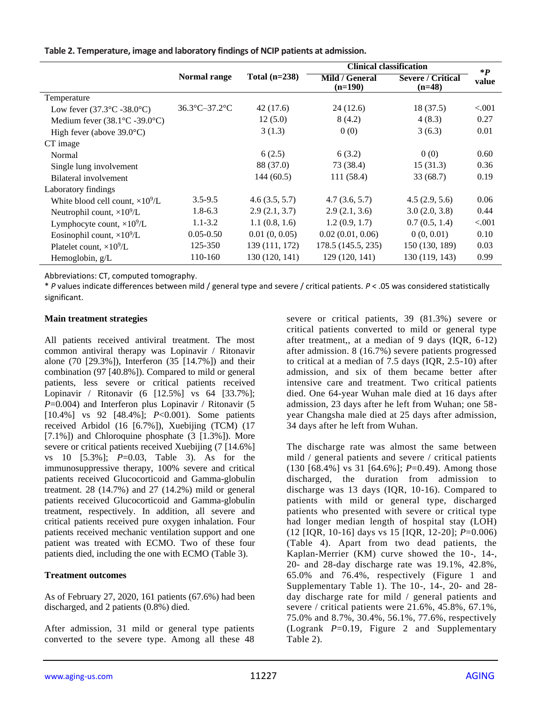|                                                |                                    |                 | <b>Clinical classification</b> | $\ast P$                             |          |
|------------------------------------------------|------------------------------------|-----------------|--------------------------------|--------------------------------------|----------|
|                                                | Normal range                       | Total $(n=238)$ | Mild / General<br>$(n=190)$    | <b>Severe / Critical</b><br>$(n=48)$ | value    |
| Temperature                                    |                                    |                 |                                |                                      |          |
| Low fever $(37.3^{\circ}C - 38.0^{\circ}C)$    | $36.3^{\circ}$ C-37.2 $^{\circ}$ C | 42 (17.6)       | 24 (12.6)                      | 18(37.5)                             | ${<}001$ |
| Medium fever $(38.1^{\circ}C - 39.0^{\circ}C)$ |                                    | 12(5.0)         | 8(4.2)                         | 4(8.3)                               | 0.27     |
| High fever (above $39.0^{\circ}$ C)            |                                    | 3(1.3)          | 0(0)                           | 3(6.3)                               | 0.01     |
| CT image                                       |                                    |                 |                                |                                      |          |
| Normal                                         |                                    | 6(2.5)          | 6(3.2)                         | 0(0)                                 | 0.60     |
| Single lung involvement                        |                                    | 88 (37.0)       | 73 (38.4)                      | 15(31.3)                             | 0.36     |
| Bilateral involvement                          |                                    | 144(60.5)       | 111(58.4)                      | 33(68.7)                             | 0.19     |
| Laboratory findings                            |                                    |                 |                                |                                      |          |
| White blood cell count, $\times 10^9$ /L       | $3.5 - 9.5$                        | 4.6(3.5, 5.7)   | 4.7(3.6, 5.7)                  | 4.5(2.9, 5.6)                        | 0.06     |
| Neutrophil count, $\times 10^9$ /L             | $1.8 - 6.3$                        | 2.9(2.1, 3.7)   | 2.9(2.1, 3.6)                  | 3.0(2.0, 3.8)                        | 0.44     |
| Lymphocyte count, $\times 10^9$ /L             | $1.1 - 3.2$                        | 1.1(0.8, 1.6)   | 1.2(0.9, 1.7)                  | 0.7(0.5, 1.4)                        | ${<}001$ |
| Eosinophil count, $\times 10^9$ /L             | $0.05 - 0.50$                      | 0.01(0, 0.05)   | 0.02(0.01, 0.06)               | 0(0, 0.01)                           | 0.10     |
| Platelet count, $\times 10^9/L$                | 125-350                            | 139 (111, 172)  | 178.5 (145.5, 235)             | 150 (130, 189)                       | 0.03     |
| Hemoglobin, g/L                                | 110-160                            | 130 (120, 141)  | 129 (120, 141)                 | 130 (119, 143)                       | 0.99     |

**Table 2. Temperature, image and laboratory findings of NCIP patients at admission.**

Abbreviations: CT, computed tomography.

\* *P* values indicate differences between mild / general type and severe / critical patients. *P* < .05 was considered statistically significant.

#### **Main treatment strategies**

All patients received antiviral treatment. The most common antiviral therapy was Lopinavir / Ritonavir alone (70 [29.3%]), Interferon (35 [14.7%]) and their combination (97 [40.8%]). Compared to mild or general patients, less severe or critical patients received Lopinavir / Ritonavir (6 [12.5%] vs 64 [33.7%]; *P*=0.004) and Interferon plus Lopinavir / Ritonavir (5 [10.4%] vs 92 [48.4%]; *P*<0.001). Some patients received Arbidol (16 [6.7%]), Xuebijing (TCM) (17 [7.1%]) and Chloroquine phosphate (3 [1.3%]). More severe or critical patients received Xuebijing (7 [14.6%] vs 10 [5.3%]; *P*=0.03, Table 3). As for the immunosuppressive therapy, 100% severe and critical patients received Glucocorticoid and Gamma-globulin treatment.  $28(14.7%)$  and  $27(14.2%)$  mild or general patients received Glucocorticoid and Gamma-globulin treatment, respectively. In addition, all severe and critical patients received pure oxygen inhalation. Four patients received mechanic ventilation support and one patient was treated with ECMO. Two of these four patients died, including the one with ECMO (Table 3).

#### **Treatment outcomes**

As of February 27, 2020, 161 patients (67.6%) had been discharged, and 2 patients (0.8%) died.

After admission, 31 mild or general type patients converted to the severe type. Among all these 48 severe or critical patients, 39 (81.3%) severe or critical patients converted to mild or general type after treatment,, at a median of 9 days (IQR, 6-12) after admission. 8 (16.7%) severe patients progressed to critical at a median of 7.5 days (IQR, 2.5-10) after admission, and six of them became better after intensive care and treatment. Two critical patients died. One 64-year Wuhan male died at 16 days after admission, 23 days after he left from Wuhan; one 58 year Changsha male died at 25 days after admission, 34 days after he left from Wuhan.

The discharge rate was almost the same between mild / general patients and severe / critical patients (130 [68.4%] vs 31 [64.6%]; *P*=0.49). Among those discharged, the duration from admission to discharge was 13 days (IQR, 10-16). Compared to patients with mild or general type, discharged patients who presented with severe or critical type had longer median length of hospital stay (LOH) (12 [IQR, 10-16] days vs 15 [IQR, 12-20]; *P*=0.006) (Table 4). Apart from two dead patients, the Kaplan-Merrier (KM) curve showed the 10-, 14-, 20- and 28-day discharge rate was 19.1%, 42.8%, 65.0% and 76.4%, respectively (Figure 1 and Supplementary Table 1). The 10-, 14-, 20- and 28 day discharge rate for mild / general patients and severe / critical patients were 21.6%, 45.8%, 67.1%, 75.0% and 8.7%, 30.4%, 56.1%, 77.6%, respectively (Logrank *P*=0.19, Figure 2 and Supplementary Table 2).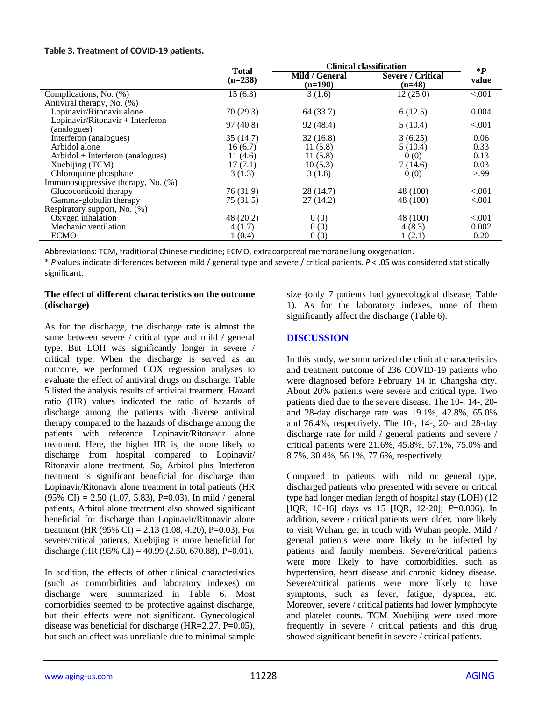#### **Table 3. Treatment of COVID-19 patients.**

|                                                 | <b>Total</b> | <b>Clinical classification</b> | $\ast P$                             |         |
|-------------------------------------------------|--------------|--------------------------------|--------------------------------------|---------|
|                                                 | $(n=238)$    | Mild / General<br>$(n=190)$    | <b>Severe / Critical</b><br>$(n=48)$ | value   |
| Complications, No. (%)                          | 15(6.3)      | 3(1.6)                         | 12(25.0)                             | < .001  |
| Antiviral therapy, No. (%)                      |              |                                |                                      |         |
| Lopinavir/Ritonavir alone                       | 70(29.3)     | 64 (33.7)                      | 6(12.5)                              | 0.004   |
| Lopinavir/Ritonavir + Interferon<br>(analogues) | 97(40.8)     | 92 (48.4)                      | 5(10.4)                              | < 0.001 |
| Interferon (analogues)                          | 35(14.7)     | 32(16.8)                       | 3(6.25)                              | 0.06    |
| Arbidol alone                                   | 16(6.7)      | 11(5.8)                        | 5(10.4)                              | 0.33    |
| Arbidol + Interferon (analogues)                | 11(4.6)      | 11(5.8)                        | 0(0)                                 | 0.13    |
| Xuebijing (TCM)                                 | 17(7.1)      | 10(5.3)                        | 7(14.6)                              | 0.03    |
| Chloroquine phosphate                           | 3(1.3)       | 3(1.6)                         | 0(0)                                 | > 99    |
| Immunosuppressive therapy, No. (%)              |              |                                |                                      |         |
| Glucocorticoid therapy                          | 76 (31.9)    | 28 (14.7)                      | 48 (100)                             | < 0.001 |
| Gamma-globulin therapy                          | 75(31.5)     | 27(14.2)                       | 48 (100)                             | < .001  |
| Respiratory support, No. (%)                    |              |                                |                                      |         |
| Oxygen inhalation                               | 48 (20.2)    | 0(0)                           | 48 (100)                             | < 0.001 |
| Mechanic ventilation                            | 4(1.7)       | 0(0)                           | 4(8.3)                               | 0.002   |
| <b>ECMO</b>                                     | 1(0.4)       | 0(0)                           | 1(2.1)                               | 0.20    |

Abbreviations: TCM, traditional Chinese medicine; ECMO, extracorporeal membrane lung oxygenation.

\* *P* values indicate differences between mild / general type and severe / critical patients. *P* < .05 was considered statistically significant.

#### **The effect of different characteristics on the outcome (discharge)**

As for the discharge, the discharge rate is almost the same between severe / critical type and mild / general type. But LOH was significantly longer in severe / critical type. When the discharge is served as an outcome, we performed COX regression analyses to evaluate the effect of antiviral drugs on discharge. Table 5 listed the analysis results of antiviral treatment. Hazard ratio (HR) values indicated the ratio of hazards of discharge among the patients with diverse antiviral therapy compared to the hazards of discharge among the patients with reference Lopinavir/Ritonavir alone treatment. Here, the higher HR is, the more likely to discharge from hospital compared to Lopinavir/ Ritonavir alone treatment. So, Arbitol plus Interferon treatment is significant beneficial for discharge than Lopinavir/Ritonavir alone treatment in total patients (HR  $(95\% \text{ CI}) = 2.50 \ (1.07, 5.83), \ P = 0.03$ . In mild / general patients, Arbitol alone treatment also showed significant beneficial for discharge than Lopinavir/Ritonavir alone treatment (HR (95% CI) = 2.13 (1.08, 4.20), P=0.03). For severe/critical patients, Xuebijing is more beneficial for discharge (HR (95% CI) = 40.99 (2.50, 670.88), P=0.01).

In addition, the effects of other clinical characteristics (such as comorbidities and laboratory indexes) on discharge were summarized in Table 6. Most comorbidies seemed to be protective against discharge, but their effects were not significant. Gynecological disease was beneficial for discharge (HR=2.27, P=0.05), but such an effect was unreliable due to minimal sample size (only 7 patients had gynecological disease, Table 1). As for the laboratory indexes, none of them significantly affect the discharge (Table 6).

## **DISCUSSION**

In this study, we summarized the clinical characteristics and treatment outcome of 236 COVID-19 patients who were diagnosed before February 14 in Changsha city. About 20% patients were severe and critical type. Two patients died due to the severe disease. The 10-, 14-, 20 and 28-day discharge rate was 19.1%, 42.8%, 65.0% and 76.4%, respectively. The 10-, 14-, 20- and 28-day discharge rate for mild / general patients and severe / critical patients were 21.6%, 45.8%, 67.1%, 75.0% and 8.7%, 30.4%, 56.1%, 77.6%, respectively.

Compared to patients with mild or general type, discharged patients who presented with severe or critical type had longer median length of hospital stay (LOH) (12 [IQR, 10-16] days vs 15 [IQR, 12-20]; *P*=0.006). In addition, severe / critical patients were older, more likely to visit Wuhan, get in touch with Wuhan people. Mild / general patients were more likely to be infected by patients and family members. Severe/critical patients were more likely to have comorbidities, such as hypertension, heart disease and chronic kidney disease. Severe/critical patients were more likely to have symptoms, such as fever, fatigue, dyspnea, etc. Moreover, severe / critical patients had lower lymphocyte and platelet counts. TCM Xuebijing were used more frequently in severe / critical patients and this drug showed significant benefit in severe / critical patients.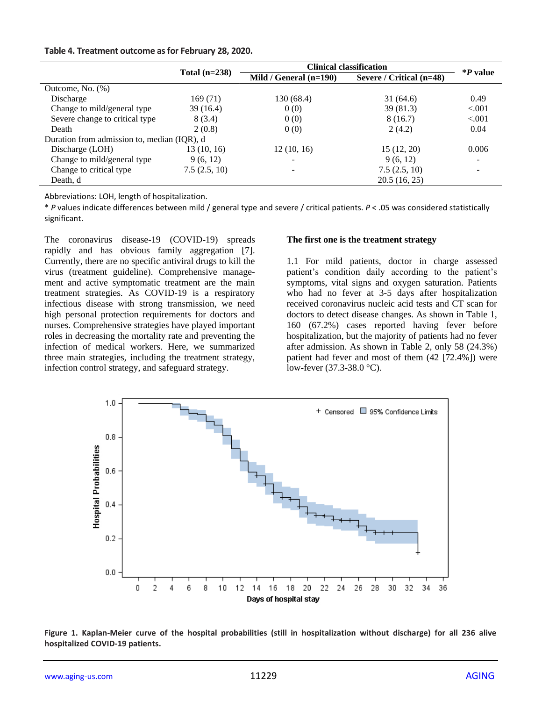#### **Table 4. Treatment outcome as for February 28, 2020.**

|                                             |                 | <b>Clinical classification</b> | $\mathbf{P}$ value       |         |
|---------------------------------------------|-----------------|--------------------------------|--------------------------|---------|
|                                             | Total $(n=238)$ | Mild / General $(n=190)$       | Severe / Critical (n=48) |         |
| Outcome, No. (%)                            |                 |                                |                          |         |
| Discharge                                   | 169(71)         | 130 (68.4)                     | 31(64.6)                 | 0.49    |
| Change to mild/general type                 | 39(16.4)        | 0(0)                           | 39 (81.3)                | < 0.001 |
| Severe change to critical type              | 8(3.4)          | 0(0)                           | 8(16.7)                  | < 0.001 |
| Death                                       | 2(0.8)          | 0(0)                           | 2(4.2)                   | 0.04    |
| Duration from admission to, median (IQR), d |                 |                                |                          |         |
| Discharge (LOH)                             | 13(10, 16)      | 12(10, 16)                     | 15(12, 20)               | 0.006   |
| Change to mild/general type                 | 9(6, 12)        |                                | 9(6, 12)                 |         |
| Change to critical type                     | 7.5(2.5, 10)    |                                | 7.5(2.5, 10)             |         |
| Death, d                                    |                 |                                | 20.5(16, 25)             |         |

Abbreviations: LOH, length of hospitalization.

\* *P* values indicate differences between mild / general type and severe / critical patients. *P* < .05 was considered statistically significant.

The coronavirus disease-19 (COVID-19) spreads rapidly and has obvious family aggregation [7]. Currently, there are no specific antiviral drugs to kill the virus (treatment guideline). Comprehensive management and active symptomatic treatment are the main treatment strategies. As COVID-19 is a respiratory infectious disease with strong transmission, we need high personal protection requirements for doctors and nurses. Comprehensive strategies have played important roles in decreasing the mortality rate and preventing the infection of medical workers. Here, we summarized three main strategies, including the treatment strategy, infection control strategy, and safeguard strategy.

#### **The first one is the treatment strategy**

1.1 For mild patients, doctor in charge assessed patient's condition daily according to the patient's symptoms, vital signs and oxygen saturation. Patients who had no fever at 3-5 days after hospitalization received coronavirus nucleic acid tests and CT scan for doctors to detect disease changes. As shown in Table 1, 160 (67.2%) cases reported having fever before hospitalization, but the majority of patients had no fever after admission. As shown in Table 2, only 58 (24.3%) patient had fever and most of them (42 [72.4%]) were low-fever (37.3-38.0 °C).



**Figure 1. Kaplan-Meier curve of the hospital probabilities (still in hospitalization without discharge) for all 236 alive hospitalized COVID-19 patients.**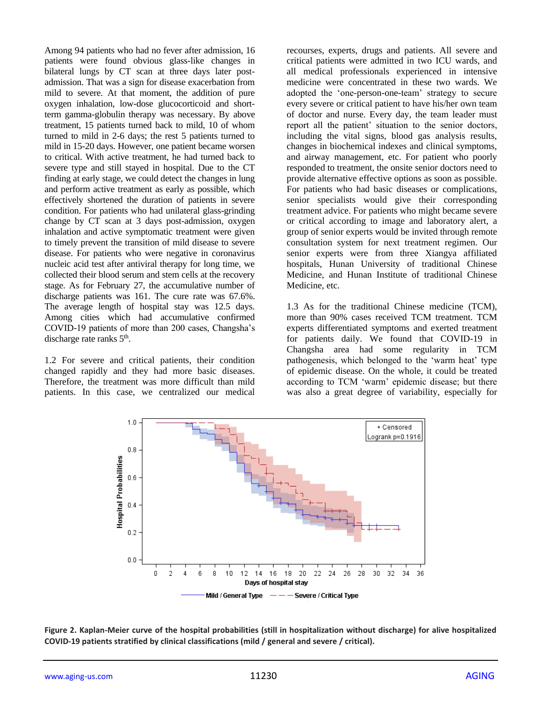Among 94 patients who had no fever after admission, 16 patients were found obvious glass-like changes in bilateral lungs by CT scan at three days later postadmission. That was a sign for disease exacerbation from mild to severe. At that moment, the addition of pure oxygen inhalation, low-dose glucocorticoid and shortterm gamma-globulin therapy was necessary. By above treatment, 15 patients turned back to mild, 10 of whom turned to mild in 2-6 days; the rest 5 patients turned to mild in 15-20 days. However, one patient became worsen to critical. With active treatment, he had turned back to severe type and still stayed in hospital. Due to the CT finding at early stage, we could detect the changes in lung and perform active treatment as early as possible, which effectively shortened the duration of patients in severe condition. For patients who had unilateral glass-grinding change by CT scan at 3 days post-admission, oxygen inhalation and active symptomatic treatment were given to timely prevent the transition of mild disease to severe disease. For patients who were negative in coronavirus nucleic acid test after antiviral therapy for long time, we collected their blood serum and stem cells at the recovery stage. As for February 27, the accumulative number of discharge patients was 161. The cure rate was 67.6%. The average length of hospital stay was 12.5 days. Among cities which had accumulative confirmed COVID-19 patients of more than 200 cases, Changsha's discharge rate ranks 5<sup>th</sup>.

1.2 For severe and critical patients, their condition changed rapidly and they had more basic diseases. Therefore, the treatment was more difficult than mild patients. In this case, we centralized our medical recourses, experts, drugs and patients. All severe and critical patients were admitted in two ICU wards, and all medical professionals experienced in intensive medicine were concentrated in these two wards. We adopted the 'one-person-one-team' strategy to secure every severe or critical patient to have his/her own team of doctor and nurse. Every day, the team leader must report all the patient' situation to the senior doctors, including the vital signs, blood gas analysis results, changes in biochemical indexes and clinical symptoms, and airway management, etc. For patient who poorly responded to treatment, the onsite senior doctors need to provide alternative effective options as soon as possible. For patients who had basic diseases or complications, senior specialists would give their corresponding treatment advice. For patients who might became severe or critical according to image and laboratory alert, a group of senior experts would be invited through remote consultation system for next treatment regimen. Our senior experts were from three Xiangya affiliated hospitals, Hunan University of traditional Chinese Medicine, and Hunan Institute of traditional Chinese Medicine, etc.

1.3 As for the traditional Chinese medicine (TCM), more than 90% cases received TCM treatment. TCM experts differentiated symptoms and exerted treatment for patients daily. We found that COVID-19 in Changsha area had some regularity in TCM pathogenesis, which belonged to the 'warm heat' type of epidemic disease. On the whole, it could be treated according to TCM 'warm' epidemic disease; but there was also a great degree of variability, especially for



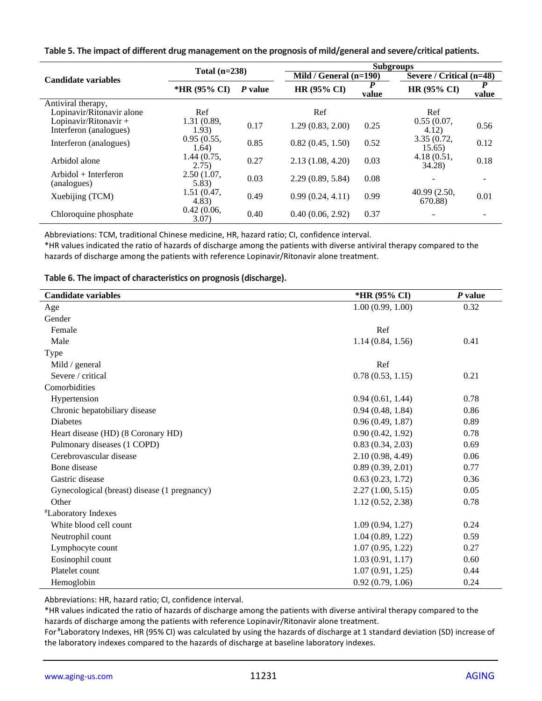| Table 5. The impact of different drug management on the prognosis of mild/general and severe/critical patients. |  |  |
|-----------------------------------------------------------------------------------------------------------------|--|--|
|-----------------------------------------------------------------------------------------------------------------|--|--|

|                                                 | Total $(n=238)$         |      | <b>Subgroups</b> |                          |                         |                          |  |
|-------------------------------------------------|-------------------------|------|------------------|--------------------------|-------------------------|--------------------------|--|
| <b>Candidate variables</b>                      |                         |      |                  | Mild / General $(n=190)$ |                         | Severe / Critical (n=48) |  |
|                                                 | *HR (95% CI)<br>P value |      | HR (95% CI)      | D<br>value               | HR (95% CI)             | P<br>value               |  |
| Antiviral therapy,                              |                         |      |                  |                          |                         |                          |  |
| Lopinavir/Ritonavir alone                       | Ref                     |      | Ref              |                          | Ref                     |                          |  |
| Lopinavir/Ritonavir +<br>Interferon (analogues) | 1.31 (0.89,<br>1.93)    | 0.17 | 1.29(0.83, 2.00) | 0.25                     | 0.55(0.07,<br>4.12)     | 0.56                     |  |
| Interferon (analogues)                          | 0.95(0.55,<br>1.64)     | 0.85 | 0.82(0.45, 1.50) | 0.52                     | 3.35(0.72,<br>15.65)    | 0.12                     |  |
| Arbidol alone                                   | 1.44(0.75,<br>(2.75)    | 0.27 | 2.13(1.08, 4.20) | 0.03                     | 4.18(0.51,<br>34.28)    | 0.18                     |  |
| $Arbidol + Interferon$<br>(analogues)           | 2.50(1.07,<br>5.83)     | 0.03 | 2.29(0.89, 5.84) | 0.08                     |                         |                          |  |
| Xuebijing (TCM)                                 | 1.51(0.47,<br>4.83)     | 0.49 | 0.99(0.24, 4.11) | 0.99                     | 40.99 (2.50,<br>670.88) | 0.01                     |  |
| Chloroquine phosphate                           | 0.42(0.06,<br>3.07)     | 0.40 | 0.40(0.06, 2.92) | 0.37                     |                         |                          |  |

Abbreviations: TCM, traditional Chinese medicine, HR, hazard ratio; CI, confidence interval.

\*HR values indicated the ratio of hazards of discharge among the patients with diverse antiviral therapy compared to the hazards of discharge among the patients with reference Lopinavir/Ritonavir alone treatment.

**Table 6. The impact of characteristics on prognosis (discharge).**

| <b>Candidate variables</b>                   | *HR (95% CI)     | $P$ value |
|----------------------------------------------|------------------|-----------|
| Age                                          | 1.00(0.99, 1.00) | 0.32      |
| Gender                                       |                  |           |
| Female                                       | Ref              |           |
| Male                                         | 1.14(0.84, 1.56) | 0.41      |
| Type                                         |                  |           |
| Mild / general                               | Ref              |           |
| Severe / critical                            | 0.78(0.53, 1.15) | 0.21      |
| Comorbidities                                |                  |           |
| Hypertension                                 | 0.94(0.61, 1.44) | 0.78      |
| Chronic hepatobiliary disease                | 0.94(0.48, 1.84) | 0.86      |
| <b>Diabetes</b>                              | 0.96(0.49, 1.87) | 0.89      |
| Heart disease (HD) (8 Coronary HD)           | 0.90(0.42, 1.92) | 0.78      |
| Pulmonary diseases (1 COPD)                  | 0.83(0.34, 2.03) | 0.69      |
| Cerebrovascular disease                      | 2.10(0.98, 4.49) | 0.06      |
| Bone disease                                 | 0.89(0.39, 2.01) | 0.77      |
| Gastric disease                              | 0.63(0.23, 1.72) | 0.36      |
| Gynecological (breast) disease (1 pregnancy) | 2.27(1.00, 5.15) | 0.05      |
| Other                                        | 1.12(0.52, 2.38) | 0.78      |
| <i>*Laboratory Indexes</i>                   |                  |           |
| White blood cell count                       | 1.09(0.94, 1.27) | 0.24      |
| Neutrophil count                             | 1.04(0.89, 1.22) | 0.59      |
| Lymphocyte count                             | 1.07(0.95, 1.22) | 0.27      |
| Eosinophil count                             | 1.03(0.91, 1.17) | 0.60      |
| Platelet count                               | 1.07(0.91, 1.25) | 0.44      |
| Hemoglobin                                   | 0.92(0.79, 1.06) | 0.24      |

Abbreviations: HR, hazard ratio; CI, confidence interval.

\*HR values indicated the ratio of hazards of discharge among the patients with diverse antiviral therapy compared to the hazards of discharge among the patients with reference Lopinavir/Ritonavir alone treatment.

For #Laboratory Indexes, HR (95% CI) was calculated by using the hazards of discharge at 1 standard deviation (SD) increase of the laboratory indexes compared to the hazards of discharge at baseline laboratory indexes.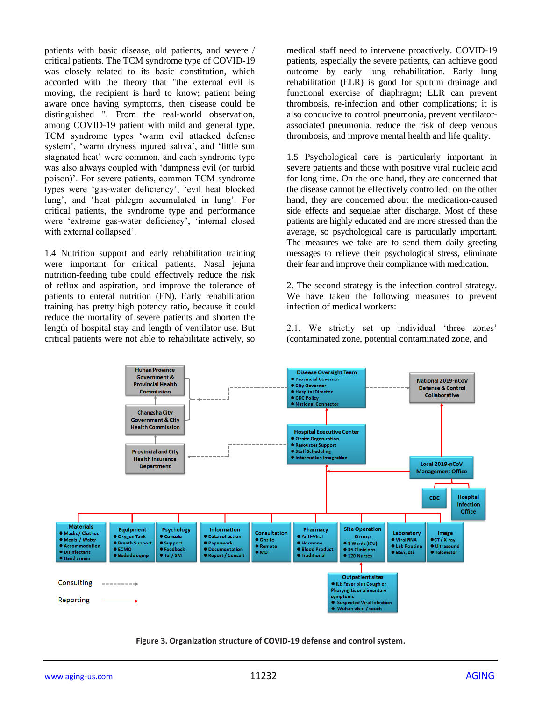patients with basic disease, old patients, and severe / critical patients. The TCM syndrome type of COVID-19 was closely related to its basic constitution, which accorded with the theory that "the external evil is moving, the recipient is hard to know; patient being aware once having symptoms, then disease could be distinguished ". From the real-world observation, among COVID-19 patient with mild and general type, TCM syndrome types 'warm evil attacked defense system', 'warm dryness injured saliva', and 'little sun stagnated heat' were common, and each syndrome type was also always coupled with 'dampness evil (or turbid poison)'. For severe patients, common TCM syndrome types were 'gas-water deficiency', 'evil heat blocked lung', and 'heat phlegm accumulated in lung'. For critical patients, the syndrome type and performance were 'extreme gas-water deficiency', 'internal closed with external collapsed'.

1.4 Nutrition support and early rehabilitation training were important for critical patients. Nasal jejuna nutrition-feeding tube could effectively reduce the risk of reflux and aspiration, and improve the tolerance of patients to enteral nutrition (EN). Early rehabilitation training has pretty high potency ratio, because it could reduce the mortality of severe patients and shorten the length of hospital stay and length of ventilator use. But critical patients were not able to rehabilitate actively, so medical staff need to intervene proactively. COVID-19 patients, especially the severe patients, can achieve good outcome by early lung rehabilitation. Early lung rehabilitation (ELR) is good for sputum drainage and functional exercise of diaphragm; ELR can prevent thrombosis, re-infection and other complications; it is also conducive to control pneumonia, prevent ventilatorassociated pneumonia, reduce the risk of deep venous thrombosis, and improve mental health and life quality.

1.5 Psychological care is particularly important in severe patients and those with positive viral nucleic acid for long time. On the one hand, they are concerned that the disease cannot be effectively controlled; on the other hand, they are concerned about the medication-caused side effects and sequelae after discharge. Most of these patients are highly educated and are more stressed than the average, so psychological care is particularly important. The measures we take are to send them daily greeting messages to relieve their psychological stress, eliminate their fear and improve their compliance with medication.

2. The second strategy is the infection control strategy. We have taken the following measures to prevent infection of medical workers:

2.1. We strictly set up individual 'three zones' (contaminated zone, potential contaminated zone, and



**Figure 3. Organization structure of COVID-19 defense and control system.**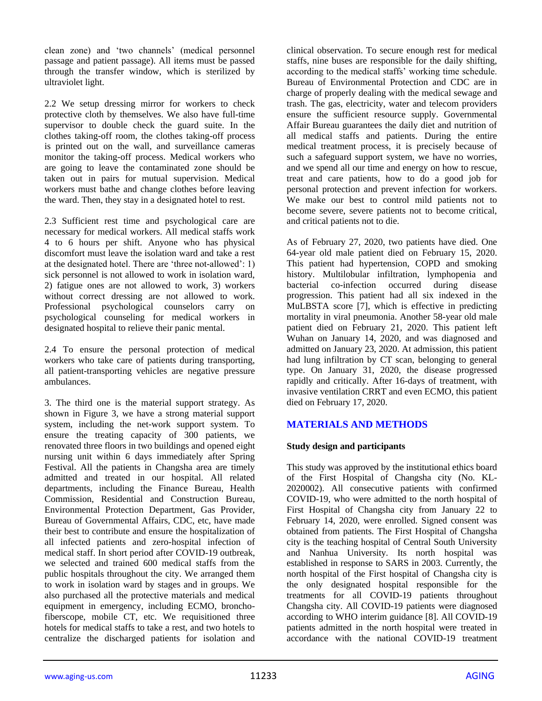clean zone) and 'two channels' (medical personnel passage and patient passage). All items must be passed through the transfer window, which is sterilized by ultraviolet light.

2.2 We setup dressing mirror for workers to check protective cloth by themselves. We also have full-time supervisor to double check the guard suite. In the clothes taking-off room, the clothes taking-off process is printed out on the wall, and surveillance cameras monitor the taking-off process. Medical workers who are going to leave the contaminated zone should be taken out in pairs for mutual supervision. Medical workers must bathe and change clothes before leaving the ward. Then, they stay in a designated hotel to rest.

2.3 Sufficient rest time and psychological care are necessary for medical workers. All medical staffs work 4 to 6 hours per shift. Anyone who has physical discomfort must leave the isolation ward and take a rest at the designated hotel. There are 'three not-allowed': 1) sick personnel is not allowed to work in isolation ward, 2) fatigue ones are not allowed to work, 3) workers without correct dressing are not allowed to work. Professional psychological counselors carry on psychological counseling for medical workers in designated hospital to relieve their panic mental.

2.4 To ensure the personal protection of medical workers who take care of patients during transporting, all patient-transporting vehicles are negative pressure ambulances.

3. The third one is the material support strategy. As shown in Figure 3, we have a strong material support system, including the net-work support system. To ensure the treating capacity of 300 patients, we renovated three floors in two buildings and opened eight nursing unit within 6 days immediately after Spring Festival. All the patients in Changsha area are timely admitted and treated in our hospital. All related departments, including the Finance Bureau, Health Commission, Residential and Construction Bureau, Environmental Protection Department, Gas Provider, Bureau of Governmental Affairs, CDC, etc, have made their best to contribute and ensure the hospitalization of all infected patients and zero-hospital infection of medical staff. In short period after COVID-19 outbreak, we selected and trained 600 medical staffs from the public hospitals throughout the city. We arranged them to work in isolation ward by stages and in groups. We also purchased all the protective materials and medical equipment in emergency, including ECMO, bronchofiberscope, mobile CT, etc. We requisitioned three hotels for medical staffs to take a rest, and two hotels to centralize the discharged patients for isolation and

clinical observation. To secure enough rest for medical staffs, nine buses are responsible for the daily shifting, according to the medical staffs' working time schedule. Bureau of Environmental Protection and CDC are in charge of properly dealing with the medical sewage and trash. The gas, electricity, water and telecom providers ensure the sufficient resource supply. Governmental Affair Bureau guarantees the daily diet and nutrition of all medical staffs and patients. During the entire medical treatment process, it is precisely because of such a safeguard support system, we have no worries, and we spend all our time and energy on how to rescue, treat and care patients, how to do a good job for personal protection and prevent infection for workers. We make our best to control mild patients not to become severe, severe patients not to become critical, and critical patients not to die.

As of February 27, 2020, two patients have died. One 64-year old male patient died on February 15, 2020. This patient had hypertension, COPD and smoking history. Multilobular infiltration, lymphopenia and bacterial co-infection occurred during disease progression. This patient had all six indexed in the MuLBSTA score [7], which is effective in predicting mortality in viral pneumonia. Another 58-year old male patient died on February 21, 2020. This patient left Wuhan on January 14, 2020, and was diagnosed and admitted on January 23, 2020. At admission, this patient had lung infiltration by CT scan, belonging to general type. On January 31, 2020, the disease progressed rapidly and critically. After 16-days of treatment, with invasive ventilation CRRT and even ECMO, this patient died on February 17, 2020.

## **MATERIALS AND METHODS**

#### **Study design and participants**

This study was approved by the institutional ethics board of the First Hospital of Changsha city (No. KL-2020002). All consecutive patients with confirmed COVID-19, who were admitted to the north hospital of First Hospital of Changsha city from January 22 to February 14, 2020, were enrolled. Signed consent was obtained from patients. The First Hospital of Changsha city is the teaching hospital of Central South University and Nanhua University. Its north hospital was established in response to SARS in 2003. Currently, the north hospital of the First hospital of Changsha city is the only designated hospital responsible for the treatments for all COVID-19 patients throughout Changsha city. All COVID-19 patients were diagnosed according to WHO interim guidance [8]. All COVID-19 patients admitted in the north hospital were treated in accordance with the national COVID-19 treatment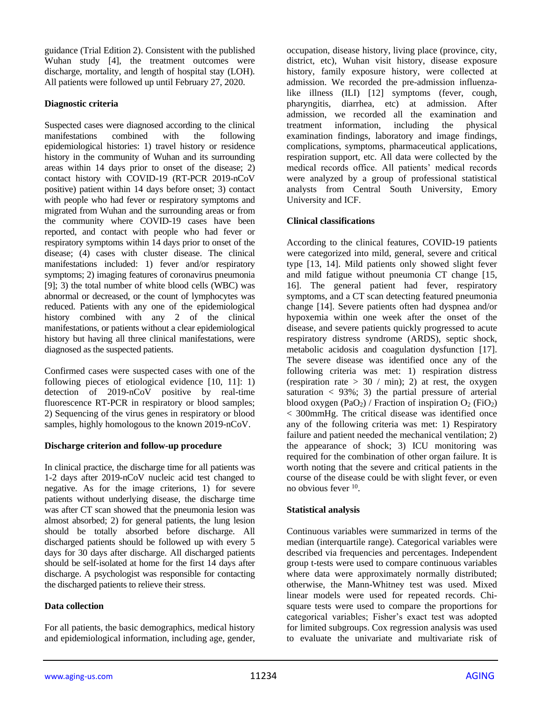guidance (Trial Edition 2). Consistent with the published Wuhan study [4], the treatment outcomes were discharge, mortality, and length of hospital stay (LOH). All patients were followed up until February 27, 2020.

## **Diagnostic criteria**

Suspected cases were diagnosed according to the clinical manifestations combined with the following epidemiological histories: 1) travel history or residence history in the community of Wuhan and its surrounding areas within 14 days prior to onset of the disease; 2) contact history with COVID-19 (RT-PCR 2019-nCoV positive) patient within 14 days before onset; 3) contact with people who had fever or respiratory symptoms and migrated from Wuhan and the surrounding areas or from the community where COVID-19 cases have been reported, and contact with people who had fever or respiratory symptoms within 14 days prior to onset of the disease; (4) cases with cluster disease. The clinical manifestations included: 1) fever and/or respiratory symptoms; 2) imaging features of coronavirus pneumonia [9]; 3) the total number of white blood cells (WBC) was abnormal or decreased, or the count of lymphocytes was reduced. Patients with any one of the epidemiological history combined with any 2 of the clinical manifestations, or patients without a clear epidemiological history but having all three clinical manifestations, were diagnosed as the suspected patients.

Confirmed cases were suspected cases with one of the following pieces of etiological evidence [10, 11]: 1) detection of 2019-nCoV positive by real-time fluorescence RT-PCR in respiratory or blood samples; 2) Sequencing of the virus genes in respiratory or blood samples, highly homologous to the known 2019-nCoV.

#### **Discharge criterion and follow-up procedure**

In clinical practice, the discharge time for all patients was 1-2 days after 2019-nCoV nucleic acid test changed to negative. As for the image criterions, 1) for severe patients without underlying disease, the discharge time was after CT scan showed that the pneumonia lesion was almost absorbed; 2) for general patients, the lung lesion should be totally absorbed before discharge. All discharged patients should be followed up with every 5 days for 30 days after discharge. All discharged patients should be self-isolated at home for the first 14 days after discharge. A psychologist was responsible for contacting the discharged patients to relieve their stress.

## **Data collection**

For all patients, the basic demographics, medical history and epidemiological information, including age, gender, occupation, disease history, living place (province, city, district, etc), Wuhan visit history, disease exposure history, family exposure history, were collected at admission. We recorded the pre-admission influenzalike illness (ILI) [12] symptoms (fever, cough, pharyngitis, diarrhea, etc) at admission. After admission, we recorded all the examination and treatment information, including the physical examination findings, laboratory and image findings, complications, symptoms, pharmaceutical applications, respiration support, etc. All data were collected by the medical records office. All patients' medical records were analyzed by a group of professional statistical analysts from Central South University, Emory University and ICF.

### **Clinical classifications**

According to the clinical features, COVID-19 patients were categorized into mild, general, severe and critical type [13, 14]. Mild patients only showed slight fever and mild fatigue without pneumonia CT change [15, 16]. The general patient had fever, respiratory symptoms, and a CT scan detecting featured pneumonia change [14]. Severe patients often had dyspnea and/or hypoxemia within one week after the onset of the disease, and severe patients quickly progressed to acute respiratory distress syndrome (ARDS), septic shock, metabolic acidosis and coagulation dysfunction [17]. The severe disease was identified once any of the following criteria was met: 1) respiration distress (respiration rate  $> 30 / min$ ); 2) at rest, the oxygen saturation  $\langle 93\%; 3 \rangle$  the partial pressure of arterial blood oxygen (PaO<sub>2</sub>) / Fraction of inspiration  $O_2$  (FiO<sub>2</sub>) < 300mmHg. The critical disease was identified once any of the following criteria was met: 1) Respiratory failure and patient needed the mechanical ventilation; 2) the appearance of shock; 3) ICU monitoring was required for the combination of other organ failure. It is worth noting that the severe and critical patients in the course of the disease could be with slight fever, or even no obvious fever <sup>10</sup>.

## **Statistical analysis**

Continuous variables were summarized in terms of the median (interquartile range). Categorical variables were described via frequencies and percentages. Independent group t-tests were used to compare continuous variables where data were approximately normally distributed; otherwise, the Mann-Whitney test was used. Mixed linear models were used for repeated records. Chisquare tests were used to compare the proportions for categorical variables; Fisher's exact test was adopted for limited subgroups. Cox regression analysis was used to evaluate the univariate and multivariate risk of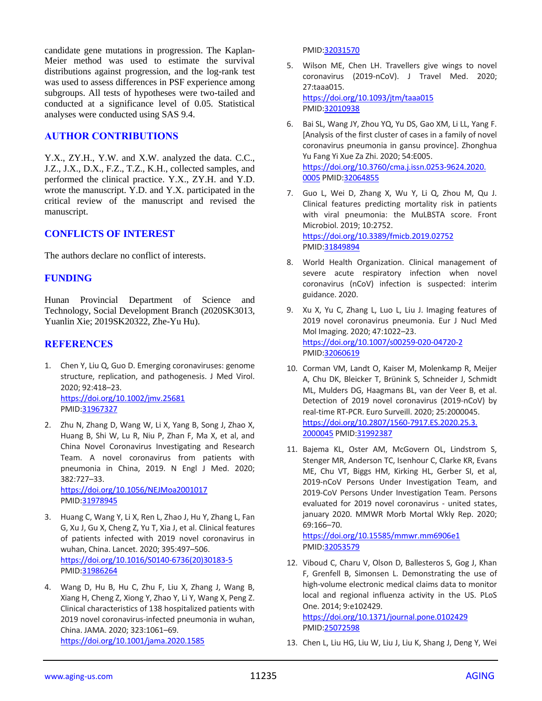candidate gene mutations in progression. The Kaplan-Meier method was used to estimate the survival distributions against progression, and the log-rank test was used to assess differences in PSF experience among subgroups. All tests of hypotheses were two-tailed and conducted at a significance level of 0.05. Statistical analyses were conducted using SAS 9.4.

### **AUTHOR CONTRIBUTIONS**

Y.X., ZY.H., Y.W. and X.W. analyzed the data. C.C., J.Z., J.X., D.X., F.Z., T.Z., K.H., collected samples, and performed the clinical practice. Y.X., ZY.H. and Y.D. wrote the manuscript. Y.D. and Y.X. participated in the critical review of the manuscript and revised the manuscript.

### **CONFLICTS OF INTEREST**

The authors declare no conflict of interests.

## **FUNDING**

Hunan Provincial Department of Science and Technology, Social Development Branch (2020SK3013, Yuanlin Xie; 2019SK20322, Zhe-Yu Hu).

### **REFERENCES**

- 1. Chen Y, Liu Q, Guo D. Emerging coronaviruses: genome structure, replication, and pathogenesis. J Med Virol. 2020; 92:418–23. <https://doi.org/10.1002/jmv.25681> PMID[:31967327](https://pubmed.ncbi.nlm.nih.gov/31967327)
- 2. Zhu N, Zhang D, Wang W, Li X, Yang B, Song J, Zhao X, Huang B, Shi W, Lu R, Niu P, Zhan F, Ma X, et al, and China Novel Coronavirus Investigating and Research Team. A novel coronavirus from patients with pneumonia in China, 2019. N Engl J Med. 2020; 382:727–33. <https://doi.org/10.1056/NEJMoa2001017>

PMID[:31978945](https://pubmed.ncbi.nlm.nih.gov/31978945)

- 3. Huang C, Wang Y, Li X, Ren L, Zhao J, Hu Y, Zhang L, Fan G, Xu J, Gu X, Cheng Z, Yu T, Xia J, et al. Clinical features of patients infected with 2019 novel coronavirus in wuhan, China. Lancet. 2020; 395:497–506. [https://doi.org/10.1016/S0140-6736\(20\)30183-5](https://doi.org/10.1016/S0140-6736(20)30183-5) PMID[:31986264](https://pubmed.ncbi.nlm.nih.gov/31986264)
- 4. Wang D, Hu B, Hu C, Zhu F, Liu X, Zhang J, Wang B, Xiang H, Cheng Z, Xiong Y, Zhao Y, Li Y, Wang X, Peng Z. Clinical characteristics of 138 hospitalized patients with 2019 novel coronavirus-infected pneumonia in wuhan, China. JAMA. 2020; 323:1061–69. <https://doi.org/10.1001/jama.2020.1585>

PMI[D:32031570](https://pubmed.ncbi.nlm.nih.gov/32031570)

- 5. Wilson ME, Chen LH. Travellers give wings to novel coronavirus (2019-nCoV). J Travel Med. 2020; 27:taaa015. <https://doi.org/10.1093/jtm/taaa015> PMI[D:32010938](https://pubmed.ncbi.nlm.nih.gov/32010938)
- 6. Bai SL, Wang JY, Zhou YQ, Yu DS, Gao XM, Li LL, Yang F. [Analysis of the first cluster of cases in a family of novel coronavirus pneumonia in gansu province]. Zhonghua Yu Fang Yi Xue Za Zhi. 2020; 54:E005. [https://doi.org/10.3760/cma.j.issn.0253-9624.2020.](https://doi.org/10.3760/cma.j.issn.0253-9624.2020.0005) [0005](https://doi.org/10.3760/cma.j.issn.0253-9624.2020.0005) PMI[D:32064855](https://pubmed.ncbi.nlm.nih.gov/32064855)
- 7. Guo L, Wei D, Zhang X, Wu Y, Li Q, Zhou M, Qu J. Clinical features predicting mortality risk in patients with viral pneumonia: the MuLBSTA score. Front Microbiol. 2019; 10:2752. <https://doi.org/10.3389/fmicb.2019.02752> PMI[D:31849894](https://pubmed.ncbi.nlm.nih.gov/31849894)
- 8. World Health Organization. Clinical management of severe acute respiratory infection when novel coronavirus (nCoV) infection is suspected: interim guidance. 2020.
- 9. Xu X, Yu C, Zhang L, Luo L, Liu J. Imaging features of 2019 novel coronavirus pneumonia. Eur J Nucl Med Mol Imaging. 2020; 47:1022–23. <https://doi.org/10.1007/s00259-020-04720-2> PMI[D:32060619](https://pubmed.ncbi.nlm.nih.gov/32060619)
- 10. Corman VM, Landt O, Kaiser M, Molenkamp R, Meijer A, Chu DK, Bleicker T, Brünink S, Schneider J, Schmidt ML, Mulders DG, Haagmans BL, van der Veer B, et al. Detection of 2019 novel coronavirus (2019-nCoV) by real-time RT-PCR. Euro Surveill. 2020; 25:2000045. [https://doi.org/10.2807/1560-7917.ES.2020.25.3.](https://doi.org/10.2807/1560-7917.ES.2020.25.3.2000045) [2000045](https://doi.org/10.2807/1560-7917.ES.2020.25.3.2000045) PMID[:31992387](https://pubmed.ncbi.nlm.nih.gov/31992387)
- 11. Bajema KL, Oster AM, McGovern OL, Lindstrom S, Stenger MR, Anderson TC, Isenhour C, Clarke KR, Evans ME, Chu VT, Biggs HM, Kirking HL, Gerber SI, et al, 2019-nCoV Persons Under Investigation Team, and 2019-CoV Persons Under Investigation Team. Persons evaluated for 2019 novel coronavirus - united states, january 2020. MMWR Morb Mortal Wkly Rep. 2020; 69:166–70.

<https://doi.org/10.15585/mmwr.mm6906e1> PMI[D:32053579](https://pubmed.ncbi.nlm.nih.gov/32053579)

12. Viboud C, Charu V, Olson D, Ballesteros S, Gog J, Khan F, Grenfell B, Simonsen L. Demonstrating the use of high-volume electronic medical claims data to monitor local and regional influenza activity in the US. PLoS One. 2014; 9:e102429.

<https://doi.org/10.1371/journal.pone.0102429> PMI[D:25072598](https://pubmed.ncbi.nlm.nih.gov/25072598)

13. Chen L, Liu HG, Liu W, Liu J, Liu K, Shang J, Deng Y, Wei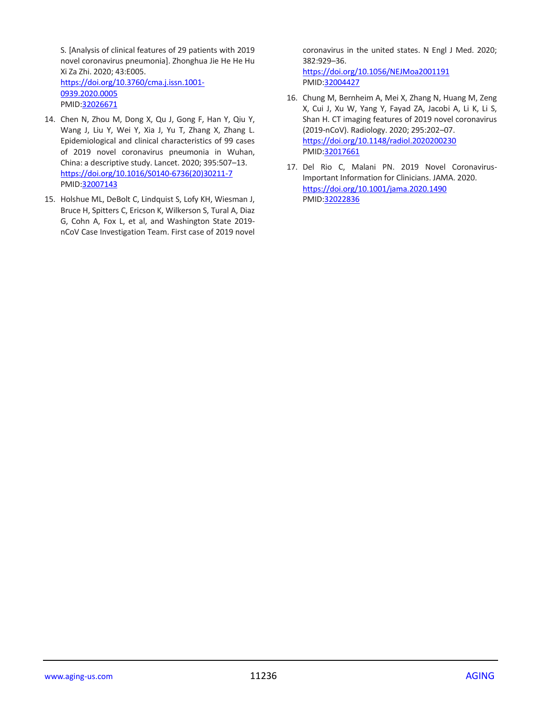S. [Analysis of clinical features of 29 patients with 2019 novel coronavirus pneumonia]. Zhonghua Jie He He Hu Xi Za Zhi. 2020; 43:E005. [https://doi.org/10.3760/cma.j.issn.1001-](https://doi.org/10.3760/cma.j.issn.1001-0939.2020.0005) [0939.2020.0005](https://doi.org/10.3760/cma.j.issn.1001-0939.2020.0005) PMID[:32026671](https://pubmed.ncbi.nlm.nih.gov/32026671)

- 14. Chen N, Zhou M, Dong X, Qu J, Gong F, Han Y, Qiu Y, Wang J, Liu Y, Wei Y, Xia J, Yu T, Zhang X, Zhang L. Epidemiological and clinical characteristics of 99 cases of 2019 novel coronavirus pneumonia in Wuhan, China: a descriptive study. Lancet. 2020; 395:507–13. [https://doi.org/10.1016/S0140-6736\(20\)30211-7](https://doi.org/10.1016/S0140-6736(20)30211-7) PMID[:32007143](https://pubmed.ncbi.nlm.nih.gov/32007143)
- 15. Holshue ML, DeBolt C, Lindquist S, Lofy KH, Wiesman J, Bruce H, Spitters C, Ericson K, Wilkerson S, Tural A, Diaz G, Cohn A, Fox L, et al, and Washington State 2019 nCoV Case Investigation Team. First case of 2019 novel

coronavirus in the united states. N Engl J Med. 2020; 382:929–36. <https://doi.org/10.1056/NEJMoa2001191>

PMI[D:32004427](https://pubmed.ncbi.nlm.nih.gov/32004427)

- 16. Chung M, Bernheim A, Mei X, Zhang N, Huang M, Zeng X, Cui J, Xu W, Yang Y, Fayad ZA, Jacobi A, Li K, Li S, Shan H. CT imaging features of 2019 novel coronavirus (2019-nCoV). Radiology. 2020; 295:202–07. <https://doi.org/10.1148/radiol.2020200230> PMI[D:32017661](https://pubmed.ncbi.nlm.nih.gov/32017661)
- 17. Del Rio C, Malani PN. 2019 Novel Coronavirus-Important Information for Clinicians. JAMA. 2020. <https://doi.org/10.1001/jama.2020.1490> PMI[D:32022836](https://pubmed.ncbi.nlm.nih.gov/32022836)